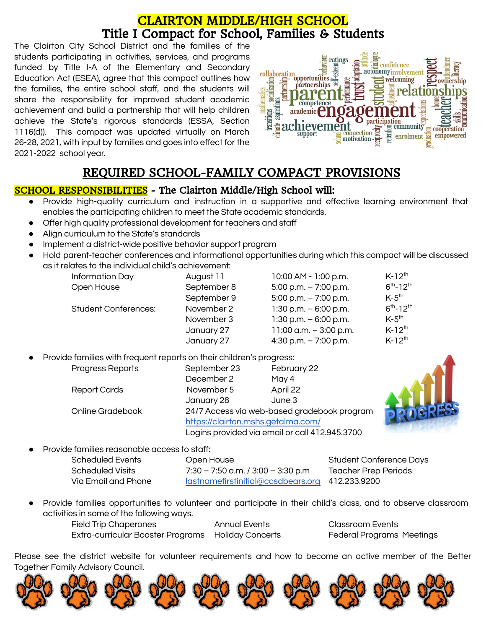## CLAIRTON MIDDLE/HIGH SCHOOL [Ti](http://images.pcmac.org/Uploads/ClairtonCitySD/ClairtonCitySD/Sites/DocumentsCategories/Documents/Family_School_Compact_16-17.pdf)tle I Compact for School, Families & Students

The Clairton City School District and the families of the students participating in activities, services, and programs funded by Title I-A of the Elementary and Secondary Education Act (ESEA), agree that this compact outlines how the families, the entire school staff, and the students will share the responsibility for improved student academic achievement and build a partnership that will help children achieve the State's rigorous standards (ESSA, Section 1116(d)). This compact was updated virtually on March 26-28, 2021, with input by families and goes into effect for the 2021-2022 school year.



# REQUIRED SCHOOL-FAMILY COMPACT PROVISIONS

### SCHOOL RESPONSIBILITIES - The Clairton Middle/High School will:

- Provide high-quality curriculum and instruction in a supportive and effective learning environment that enables the participating children to meet the State academic standards.
- Offer high quality professional development for teachers and staff
- Align curriculum to the State's standards
- Implement a district-wide positive behavior support program
- Hold parent-teacher conferences and informational opportunities during which this compact will be discussed as it relates to the individual child's achievement:

| Information Day             | August 11   | 10:00 AM - 1:00 p.m.     | $K-12^{th}$         |
|-----------------------------|-------------|--------------------------|---------------------|
| Open House                  | September 8 | $5:00$ p.m. $-7:00$ p.m. | $6^{th} - 12^{th}$  |
|                             | September 9 | $5:00$ p.m. $-7:00$ p.m. | $K-5$ <sup>th</sup> |
| <b>Student Conferences:</b> | November 2  | $1:30$ p.m. $-6:00$ p.m. | $6^{th} - 12^{th}$  |
|                             | November 3  | $1:30$ p.m. $-6:00$ p.m. | $K-5$ <sup>th</sup> |
|                             | January 27  | 11:00 a.m. $-3:00$ p.m.  | $K-12^{th}$         |
|                             | January 27  | 4:30 p.m. $-7:00$ p.m.   | $K-12^{th}$         |

Provide families with frequent reports on their children's progress:

| Progress Reports    | September 23                                                                                                                        | February 22 |
|---------------------|-------------------------------------------------------------------------------------------------------------------------------------|-------------|
|                     | December 2                                                                                                                          | May 4       |
| <b>Report Cards</b> | November 5                                                                                                                          | April 22    |
|                     | January 28                                                                                                                          | June 3      |
| Online Gradebook    | 24/7 Access via web-based gradebook program<br>https://clairton.mshs.getalma.com/<br>Logins provided via email or call 412.945.3700 |             |
|                     |                                                                                                                                     |             |
|                     |                                                                                                                                     |             |



Provide families reasonable access to staff:

| Scheduled Events    | Open House                                      | <b>Student Conference Days</b> |
|---------------------|-------------------------------------------------|--------------------------------|
| Scheduled Visits    | $7:30 - 7:50$ a.m. / 3:00 - 3:30 p.m            | <b>Teacher Prep Periods</b>    |
| Via Email and Phone | lastnamefirstinitial@ccsdbears.org 412.233.9200 |                                |

● Provide families opportunities to volunteer and participate in their child's class, and to observe classroom activities in some of the following ways.

Field Trip Chaperones Annual Events Classroom Events Extra-curricular Booster Programs Holiday Concerts Federal Programs Meetings

Please see the district website for volunteer requirements and how to become an active member of the Better Together Family Advisory Council.